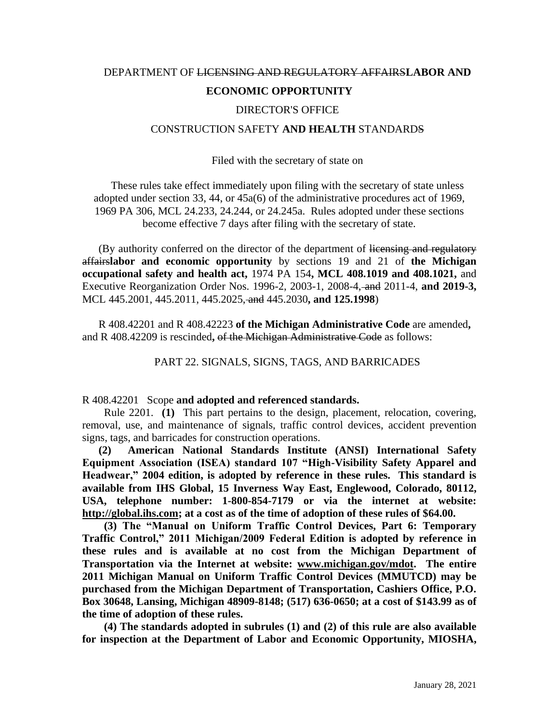## DEPARTMENT OF LICENSING AND REGULATORY AFFAIRS**LABOR AND ECONOMIC OPPORTUNITY**

## DIRECTOR'S OFFICE

## CONSTRUCTION SAFETY **AND HEALTH** STANDARDS

Filed with the secretary of state on

These rules take effect immediately upon filing with the secretary of state unless adopted under section 33, 44, or 45a(6) of the administrative procedures act of 1969, 1969 PA 306, MCL 24.233, 24.244, or 24.245a. Rules adopted under these sections become effective 7 days after filing with the secretary of state.

(By authority conferred on the director of the department of licensing and regulatory affairs**labor and economic opportunity** by sections 19 and 21 of **the Michigan occupational safety and health act,** 1974 PA 154**, MCL 408.1019 and 408.1021,** and Executive Reorganization Order Nos. 1996-2, 2003-1, 2008-4, and 2011-4, **and 2019-3,**  MCL 445.2001, 445.2011, 445.2025, and 445.2030**, and 125.1998**)

R 408.42201 and R 408.42223 **of the Michigan Administrative Code** are amended**,** and R 408.42209 is rescinded**,** of the Michigan Administrative Code as follows:

PART 22. SIGNALS, SIGNS, TAGS, AND BARRICADES

R 408.42201 Scope **and adopted and referenced standards.**

 Rule 2201. **(1)** This part pertains to the design, placement, relocation, covering, removal, use, and maintenance of signals, traffic control devices, accident prevention signs, tags, and barricades for construction operations.

**(2) American National Standards Institute (ANSI) International Safety Equipment Association (ISEA) standard 107 "High-Visibility Safety Apparel and Headwear," 2004 edition, is adopted by reference in these rules. This standard is available from IHS Global, 15 Inverness Way East, Englewood, Colorado, 80112, USA, telephone number: 1-800-854-7179 or via the internet at website: [http://global.ihs.com;](http://global.ihs.com/) at a cost as of the time of adoption of these rules of \$64.00.**

 **(3) The "Manual on Uniform Traffic Control Devices, Part 6: Temporary Traffic Control," 2011 Michigan/2009 Federal Edition is adopted by reference in these rules and is available at no cost from the Michigan Department of Transportation via the Internet at website: [www.michigan.gov/mdot.](http://www.michigan.gov/mdot) The entire 2011 Michigan Manual on Uniform Traffic Control Devices (MMUTCD) may be purchased from the Michigan Department of Transportation, Cashiers Office, P.O. Box 30648, Lansing, Michigan 48909-8148; (517) 636-0650; at a cost of \$143.99 as of the time of adoption of these rules.** 

 **(4) The standards adopted in subrules (1) and (2) of this rule are also available for inspection at the Department of Labor and Economic Opportunity, MIOSHA,**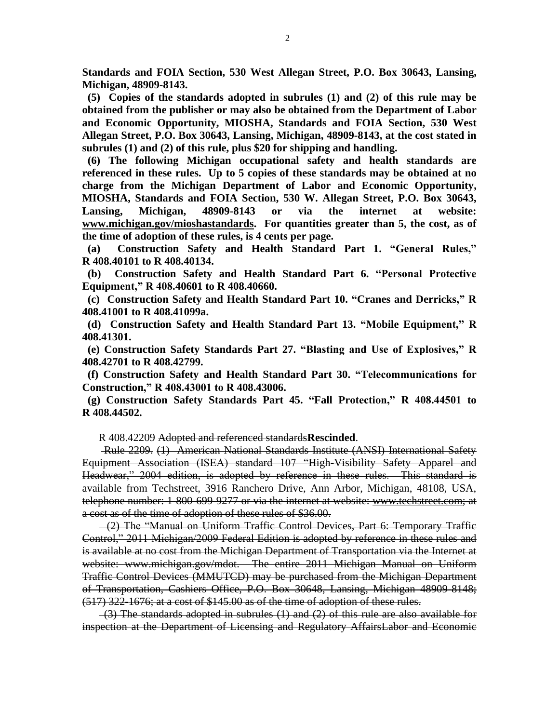**Standards and FOIA Section, 530 West Allegan Street, P.O. Box 30643, Lansing, Michigan, 48909-8143.** 

 **(5) Copies of the standards adopted in subrules (1) and (2) of this rule may be obtained from the publisher or may also be obtained from the Department of Labor and Economic Opportunity, MIOSHA, Standards and FOIA Section, 530 West Allegan Street, P.O. Box 30643, Lansing, Michigan, 48909-8143, at the cost stated in subrules (1) and (2) of this rule, plus \$20 for shipping and handling.**

 **(6) The following Michigan occupational safety and health standards are referenced in these rules. Up to 5 copies of these standards may be obtained at no charge from the Michigan Department of Labor and Economic Opportunity, MIOSHA, Standards and FOIA Section, 530 W. Allegan Street, P.O. Box 30643, Lansing, Michigan, 48909-8143 or via the internet at website: www.michigan.gov/mioshastandards. For quantities greater than 5, the cost, as of the time of adoption of these rules, is 4 cents per page.**

**(a) Construction Safety and Health Standard Part 1. "General Rules," R 408.40101 to R 408.40134.**

 **(b) Construction Safety and Health Standard Part 6. "Personal Protective Equipment," R 408.40601 to R 408.40660.**

 **(c) Construction Safety and Health Standard Part 10. "Cranes and Derricks," R 408.41001 to R 408.41099a.**

 **(d) Construction Safety and Health Standard Part 13. "Mobile Equipment," R 408.41301.**

 **(e) Construction Safety Standards Part 27. "Blasting and Use of Explosives," R 408.42701 to R 408.42799.**

 **(f) Construction Safety and Health Standard Part 30. "Telecommunications for Construction," R 408.43001 to R 408.43006.**

**(g) Construction Safety Standards Part 45. "Fall Protection," R 408.44501 to R 408.44502.**

R 408.42209 Adopted and referenced standards**Rescinded**.

Rule 2209. (1) American National Standards Institute (ANSI) International Safety Equipment Association (ISEA) standard 107 "High-Visibility Safety Apparel and Headwear," 2004 edition, is adopted by reference in these rules. This standard is available from Techstreet, 3916 Ranchero Drive, Ann Arbor, Michigan, 48108, USA, telephone number: 1-800-699-9277 or via the internet at website: www.techstreet.com; at a cost as of the time of adoption of these rules of \$36.00.

 (2) The "Manual on Uniform Traffic Control Devices, Part 6: Temporary Traffic Control," 2011 Michigan/2009 Federal Edition is adopted by reference in these rules and is available at no cost from the Michigan Department of Transportation via the Internet at website: [www.michigan.gov/mdot.](http://www.michigan.gov/mdot) The entire 2011 Michigan Manual on Uniform Traffic Control Devices (MMUTCD) may be purchased from the Michigan Department of Transportation, Cashiers Office, P.O. Box 30648, Lansing, Michigan 48909-8148; (517) 322-1676; at a cost of \$145.00 as of the time of adoption of these rules.

 $-(3)$  The standards adopted in subrules  $(1)$  and  $(2)$  of this rule are also available for inspection at the Department of Licensing and Regulatory AffairsLabor and Economic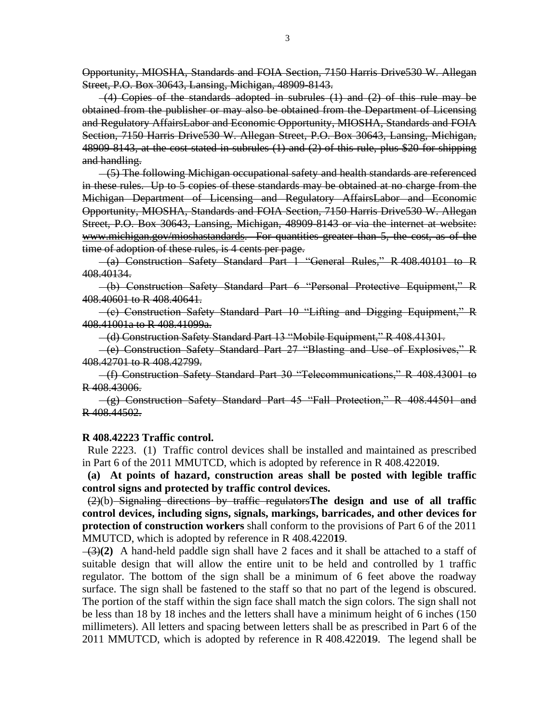Opportunity, MIOSHA, Standards and FOIA Section, 7150 Harris Drive530 W. Allegan Street, P.O. Box 30643, Lansing, Michigan, 48909-8143.

 $-(4)$  Copies of the standards adopted in subrules  $(1)$  and  $(2)$  of this rule may be obtained from the publisher or may also be obtained from the Department of Licensing and Regulatory AffairsLabor and Economic Opportunity, MIOSHA, Standards and FOIA Section, 7150 Harris Drive530 W. Allegan Street, P.O. Box 30643, Lansing, Michigan, 48909-8143, at the cost stated in subrules (1) and (2) of this rule, plus \$20 for shipping and handling.

 (5) The following Michigan occupational safety and health standards are referenced in these rules. Up to 5 copies of these standards may be obtained at no charge from the Michigan Department of Licensing and Regulatory AffairsLabor and Economic Opportunity, MIOSHA, Standards and FOIA Section, 7150 Harris Drive530 W. Allegan Street, P.O. Box 30643, Lansing, Michigan, 48909-8143 or via the internet at website: www.michigan.gov/mioshastandards. For quantities greater than 5, the cost, as of the time of adoption of these rules, is 4 cents per page.

 (a) Construction Safety Standard Part 1 "General Rules," R 408.40101 to R 408.40134.

 (b) Construction Safety Standard Part 6 "Personal Protective Equipment," R 408.40601 to R 408.40641.

 (c) Construction Safety Standard Part 10 "Lifting and Digging Equipment," R 408.41001a to R 408.41099a.

(d) Construction Safety Standard Part 13 "Mobile Equipment," R 408.41301.

 (e) Construction Safety Standard Part 27 "Blasting and Use of Explosives," R 408.42701 to R 408.42799.

 (f) Construction Safety Standard Part 30 "Telecommunications," R 408.43001 to R 408.43006.

 (g) Construction Safety Standard Part 45 "Fall Protection," R 408.44501 and R 408.44502.

## **R 408.42223 Traffic control.**

 Rule 2223. (1) Traffic control devices shall be installed and maintained as prescribed in Part 6 of the 2011 MMUTCD, which is adopted by reference in R 408.4220**1**9.

 **(a) At points of hazard, construction areas shall be posted with legible traffic control signs and protected by traffic control devices.** 

(2)(b) Signaling directions by traffic regulators**The design and use of all traffic control devices, including signs, signals, markings, barricades, and other devices for protection of construction workers** shall conform to the provisions of Part 6 of the 2011 MMUTCD, which is adopted by reference in R 408.4220**1**9.

 (3)**(2)** A hand-held paddle sign shall have 2 faces and it shall be attached to a staff of suitable design that will allow the entire unit to be held and controlled by 1 traffic regulator. The bottom of the sign shall be a minimum of 6 feet above the roadway surface. The sign shall be fastened to the staff so that no part of the legend is obscured. The portion of the staff within the sign face shall match the sign colors. The sign shall not be less than 18 by 18 inches and the letters shall have a minimum height of 6 inches (150 millimeters). All letters and spacing between letters shall be as prescribed in Part 6 of the 2011 MMUTCD, which is adopted by reference in R 408.4220**1**9. The legend shall be